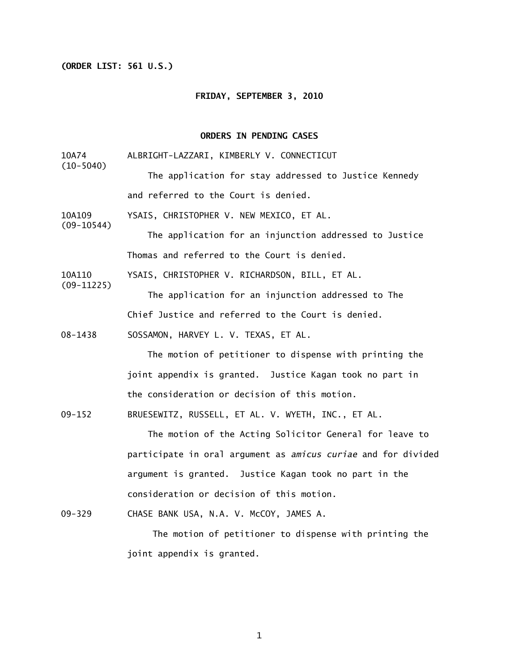## **(ORDER LIST: 561 U.S.)**

(10-5040)

(09-10544)

(09-11225)

### **FRIDAY, SEPTEMBER 3, 2010**

# **ORDERS IN PENDING CASES**

- 10A74 ALBRIGHT-LAZZARI, KIMBERLY V. CONNECTICUT
	- The application for stay addressed to Justice Kennedy and referred to the Court is denied.
- 10A109 YSAIS, CHRISTOPHER V. NEW MEXICO, ET AL.

The application for an injunction addressed to Justice Thomas and referred to the Court is denied.

10A110 YSAIS, CHRISTOPHER V. RICHARDSON, BILL, ET AL.

> The application for an injunction addressed to The Chief Justice and referred to the Court is denied.

08-1438 SOSSAMON, HARVEY L. V. TEXAS, ET AL.

The motion of petitioner to dispense with printing the joint appendix is granted. Justice Kagan took no part in the consideration or decision of this motion.

09-152 BRUESEWITZ, RUSSELL, ET AL. V. WYETH, INC., ET AL.

 The motion of the Acting Solicitor General for leave to participate in oral argument as *amicus curiae* and for divided argument is granted. Justice Kagan took no part in the consideration or decision of this motion.

09-329 CHASE BANK USA, N.A. V. McCOY, JAMES A.

The motion of petitioner to dispense with printing the joint appendix is granted.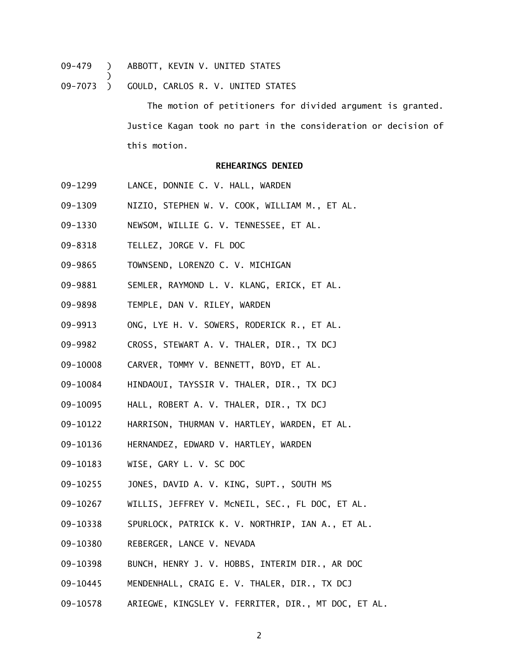09-479 ) ABBOTT, KEVIN V. UNITED STATES

)

09-7073 ) GOULD, CARLOS R. V. UNITED STATES

The motion of petitioners for divided argument is granted. Justice Kagan took no part in the consideration or decision of this motion.

### **REHEARINGS DENIED**

- 09-1299 LANCE, DONNIE C. V. HALL, WARDEN
- 09-1309 NIZIO, STEPHEN W. V. COOK, WILLIAM M., ET AL.
- 09-1330 NEWSOM, WILLIE G. V. TENNESSEE, ET AL.
- 09-8318 TELLEZ, JORGE V. FL DOC
- 09-9865 TOWNSEND, LORENZO C. V. MICHIGAN
- 09-9881 SEMLER, RAYMOND L. V. KLANG, ERICK, ET AL.
- 09-9898 TEMPLE, DAN V. RILEY, WARDEN
- 09-9913 ONG, LYE H. V. SOWERS, RODERICK R., ET AL.
- 09-9982 CROSS, STEWART A. V. THALER, DIR., TX DCJ
- 09-10008 CARVER, TOMMY V. BENNETT, BOYD, ET AL.
- 09-10084 HINDAOUI, TAYSSIR V. THALER, DIR., TX DCJ
- 09-10095 HALL, ROBERT A. V. THALER, DIR., TX DCJ
- 09-10122 HARRISON, THURMAN V. HARTLEY, WARDEN, ET AL.
- 09-10136 HERNANDEZ, EDWARD V. HARTLEY, WARDEN
- 09-10183 WISE, GARY L. V. SC DOC
- 09-10255 JONES, DAVID A. V. KING, SUPT., SOUTH MS
- 09-10267 WILLIS, JEFFREY V. McNEIL, SEC., FL DOC, ET AL.
- 09-10338 SPURLOCK, PATRICK K. V. NORTHRIP, IAN A., ET AL.
- 09-10380 REBERGER, LANCE V. NEVADA
- 09-10398 BUNCH, HENRY J. V. HOBBS, INTERIM DIR., AR DOC
- 09-10445 MENDENHALL, CRAIG E. V. THALER, DIR., TX DCJ
- 09-10578 ARIEGWE, KINGSLEY V. FERRITER, DIR., MT DOC, ET AL.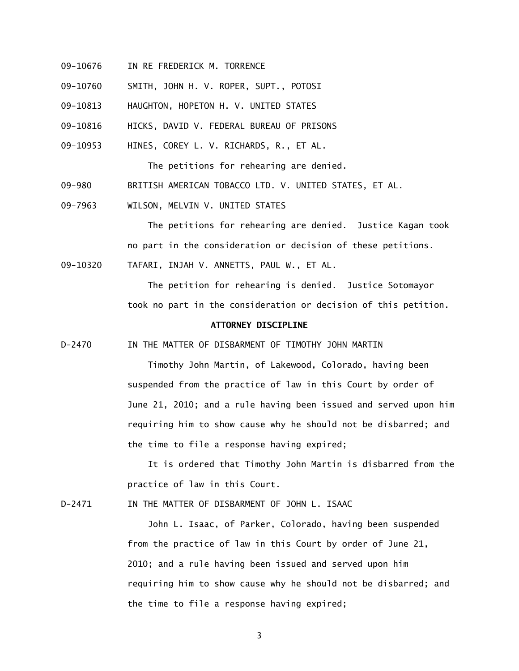- 09-10676 IN RE FREDERICK M. TORRENCE
- 09-10760 SMITH, JOHN H. V. ROPER, SUPT., POTOSI

09-10813 HAUGHTON, HOPETON H. V. UNITED STATES

- 09-10816 HICKS, DAVID V. FEDERAL BUREAU OF PRISONS
- 09-10953 HINES, COREY L. V. RICHARDS, R., ET AL.

The petitions for rehearing are denied.

- 09-980 BRITISH AMERICAN TOBACCO LTD. V. UNITED STATES, ET AL.
- 09-7963 WILSON, MELVIN V. UNITED STATES

 The petitions for rehearing are denied. Justice Kagan took no part in the consideration or decision of these petitions.

09-10320 TAFARI, INJAH V. ANNETTS, PAUL W., ET AL.

 The petition for rehearing is denied. Justice Sotomayor took no part in the consideration or decision of this petition.

### **ATTORNEY DISCIPLINE**

D-2470 IN THE MATTER OF DISBARMENT OF TIMOTHY JOHN MARTIN

Timothy John Martin, of Lakewood, Colorado, having been suspended from the practice of law in this Court by order of June 21, 2010; and a rule having been issued and served upon him requiring him to show cause why he should not be disbarred; and the time to file a response having expired;

 It is ordered that Timothy John Martin is disbarred from the practice of law in this Court.

D-2471 IN THE MATTER OF DISBARMENT OF JOHN L. ISAAC

 John L. Isaac, of Parker, Colorado, having been suspended from the practice of law in this Court by order of June 21, 2010; and a rule having been issued and served upon him requiring him to show cause why he should not be disbarred; and the time to file a response having expired;